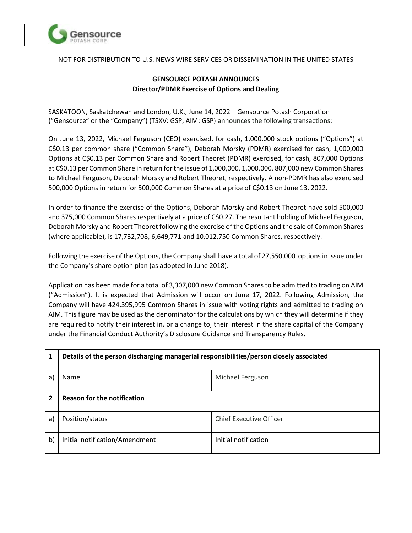

NOT FOR DISTRIBUTION TO U.S. NEWS WIRE SERVICES OR DISSEMINATION IN THE UNITED STATES

# **GENSOURCE POTASH ANNOUNCES Director/PDMR Exercise of Options and Dealing**

SASKATOON, Saskatchewan and London, U.K., June 14, 2022 – Gensource Potash Corporation ("Gensource" or the "Company") (TSXV: GSP, AIM: GSP) announces the following transactions:

On June 13, 2022, Michael Ferguson (CEO) exercised, for cash, 1,000,000 stock options ("Options") at C\$0.13 per common share ("Common Share"), Deborah Morsky (PDMR) exercised for cash, 1,000,000 Options at C\$0.13 per Common Share and Robert Theoret (PDMR) exercised, for cash, 807,000 Options at C\$0.13 per Common Share in return for the issue of 1,000,000, 1,000,000, 807,000 new Common Shares to Michael Ferguson, Deborah Morsky and Robert Theoret, respectively. A non-PDMR has also exercised 500,000 Options in return for 500,000 Common Shares at a price of C\$0.13 on June 13, 2022.

In order to finance the exercise of the Options, Deborah Morsky and Robert Theoret have sold 500,000 and 375,000 Common Shares respectively at a price of C\$0.27. The resultant holding of Michael Ferguson, Deborah Morsky and Robert Theoret following the exercise of the Options and the sale of Common Shares (where applicable), is 17,732,708, 6,649,771 and 10,012,750 Common Shares, respectively.

Following the exercise of the Options, the Company shall have a total of 27,550,000 options in issue under the Company's share option plan (as adopted in June 2018).

Application has been made for a total of 3,307,000 new Common Shares to be admitted to trading on AIM ("Admission"). It is expected that Admission will occur on June 17, 2022. Following Admission, the Company will have 424,395,995 Common Shares in issue with voting rights and admitted to trading on AIM. This figure may be used as the denominator for the calculations by which they will determine if they are required to notify their interest in, or a change to, their interest in the share capital of the Company under the Financial Conduct Authority's Disclosure Guidance and Transparency Rules.

| 1  | Details of the person discharging managerial responsibilities/person closely associated |                                |
|----|-----------------------------------------------------------------------------------------|--------------------------------|
| a  | Michael Ferguson<br>Name                                                                |                                |
| 2  | <b>Reason for the notification</b>                                                      |                                |
| a  | Position/status                                                                         | <b>Chief Executive Officer</b> |
| b) | Initial notification/Amendment                                                          | Initial notification           |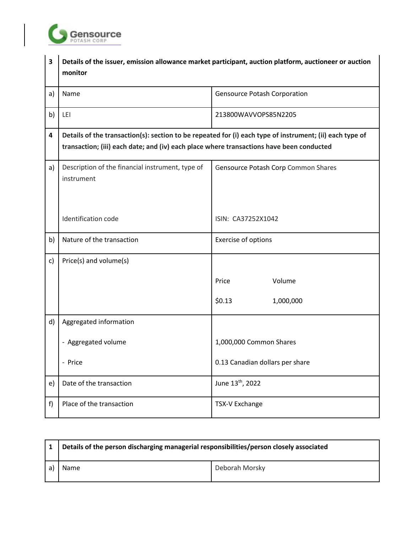

| 3  | Details of the issuer, emission allowance market participant, auction platform, auctioneer or auction<br>monitor                                                                                     |                                     |
|----|------------------------------------------------------------------------------------------------------------------------------------------------------------------------------------------------------|-------------------------------------|
| a) | Name                                                                                                                                                                                                 | <b>Gensource Potash Corporation</b> |
| b) | LEI                                                                                                                                                                                                  | 213800WAVVOPS85N2205                |
| 4  | Details of the transaction(s): section to be repeated for (i) each type of instrument; (ii) each type of<br>transaction; (iii) each date; and (iv) each place where transactions have been conducted |                                     |
| a) | Description of the financial instrument, type of<br>instrument                                                                                                                                       | Gensource Potash Corp Common Shares |
|    | <b>Identification code</b>                                                                                                                                                                           | ISIN: CA37252X1042                  |
| b) | Nature of the transaction                                                                                                                                                                            | <b>Exercise of options</b>          |
| c) | Price(s) and volume(s)                                                                                                                                                                               |                                     |
|    |                                                                                                                                                                                                      | Volume<br>Price                     |
|    |                                                                                                                                                                                                      | \$0.13<br>1,000,000                 |
| d) | Aggregated information                                                                                                                                                                               |                                     |
|    | - Aggregated volume                                                                                                                                                                                  | 1,000,000 Common Shares             |
|    | - Price                                                                                                                                                                                              | 0.13 Canadian dollars per share     |
| e) | Date of the transaction                                                                                                                                                                              | June 13 <sup>th</sup> , 2022        |
| f  | Place of the transaction                                                                                                                                                                             | <b>TSX-V Exchange</b>               |

| Details of the person discharging managerial responsibilities/person closely associated |                |
|-----------------------------------------------------------------------------------------|----------------|
| Name                                                                                    | Deborah Morsky |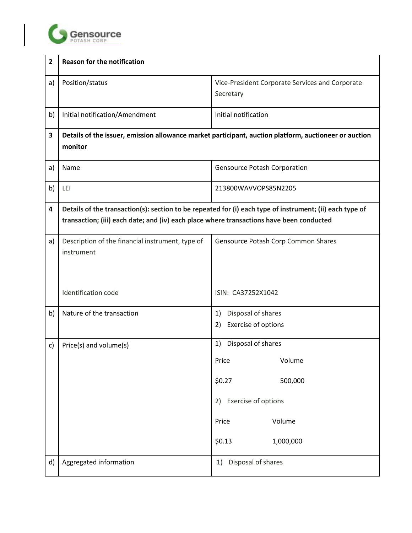

| $\overline{2}$ | <b>Reason for the notification</b>                                                                                                                                                                   |                                                                                                                                      |  |
|----------------|------------------------------------------------------------------------------------------------------------------------------------------------------------------------------------------------------|--------------------------------------------------------------------------------------------------------------------------------------|--|
| a)             | Position/status                                                                                                                                                                                      | Vice-President Corporate Services and Corporate<br>Secretary                                                                         |  |
| b)             | Initial notification/Amendment                                                                                                                                                                       | Initial notification                                                                                                                 |  |
| 3              | monitor                                                                                                                                                                                              | Details of the issuer, emission allowance market participant, auction platform, auctioneer or auction                                |  |
| a)             | Name                                                                                                                                                                                                 | <b>Gensource Potash Corporation</b>                                                                                                  |  |
| b)             | LEI                                                                                                                                                                                                  | 213800WAVVOPS85N2205                                                                                                                 |  |
| 4              | Details of the transaction(s): section to be repeated for (i) each type of instrument; (ii) each type of<br>transaction; (iii) each date; and (iv) each place where transactions have been conducted |                                                                                                                                      |  |
| a)             | Description of the financial instrument, type of<br>instrument                                                                                                                                       | Gensource Potash Corp Common Shares                                                                                                  |  |
|                | Identification code                                                                                                                                                                                  | ISIN: CA37252X1042                                                                                                                   |  |
| b)             | Nature of the transaction                                                                                                                                                                            | 1)<br>Disposal of shares<br>Exercise of options<br>2)                                                                                |  |
| c)             | Price(s) and volume(s)                                                                                                                                                                               | Disposal of shares<br>1)<br>Volume<br>Price<br>500,000<br>\$0.27<br>2) Exercise of options<br>Volume<br>Price<br>\$0.13<br>1,000,000 |  |
| d)             | Aggregated information                                                                                                                                                                               | Disposal of shares<br>1)                                                                                                             |  |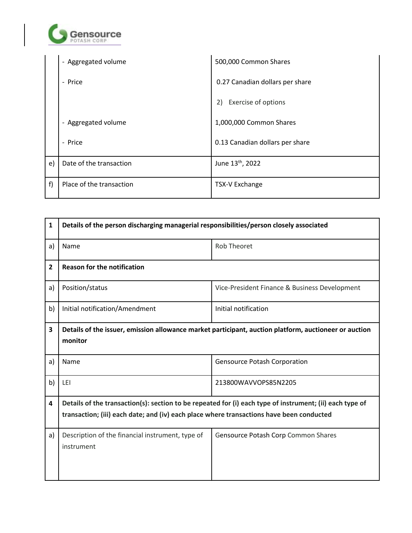

|    | - Aggregated volume      | 500,000 Common Shares            |
|----|--------------------------|----------------------------------|
|    | - Price                  | 0.27 Canadian dollars per share  |
|    |                          | 2)<br><b>Exercise of options</b> |
|    | - Aggregated volume      | 1,000,000 Common Shares          |
|    | - Price                  | 0.13 Canadian dollars per share  |
| e) | Date of the transaction  | June 13 <sup>th</sup> , 2022     |
| f  | Place of the transaction | <b>TSX-V Exchange</b>            |

| 1              | Details of the person discharging managerial responsibilities/person closely associated                                                                                                              |                                               |
|----------------|------------------------------------------------------------------------------------------------------------------------------------------------------------------------------------------------------|-----------------------------------------------|
| a)             | Name                                                                                                                                                                                                 | <b>Rob Theoret</b>                            |
| $\overline{2}$ | <b>Reason for the notification</b>                                                                                                                                                                   |                                               |
| a)             | Position/status                                                                                                                                                                                      | Vice-President Finance & Business Development |
| b)             | Initial notification/Amendment                                                                                                                                                                       | Initial notification                          |
| 3              | Details of the issuer, emission allowance market participant, auction platform, auctioneer or auction<br>monitor                                                                                     |                                               |
| a)             | Name                                                                                                                                                                                                 | <b>Gensource Potash Corporation</b>           |
| b)             | LEI                                                                                                                                                                                                  | 213800WAVVOPS85N2205                          |
| 4              | Details of the transaction(s): section to be repeated for (i) each type of instrument; (ii) each type of<br>transaction; (iii) each date; and (iv) each place where transactions have been conducted |                                               |
| a)             | Description of the financial instrument, type of<br>instrument                                                                                                                                       | Gensource Potash Corp Common Shares           |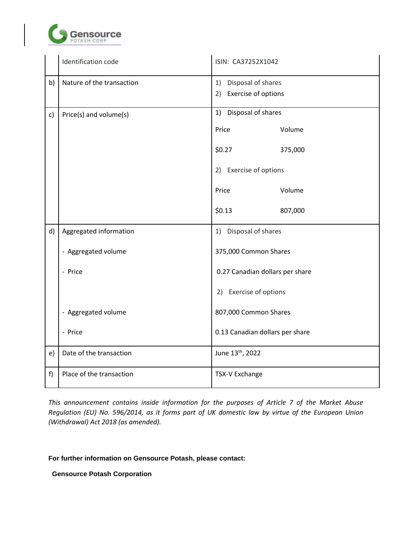

|    | Identification code       | ISIN: CA37252X1042                                 |  |
|----|---------------------------|----------------------------------------------------|--|
| b) | Nature of the transaction | Disposal of shares<br>1)<br>2) Exercise of options |  |
| c) | Price(s) and volume(s)    | 1) Disposal of shares                              |  |
|    |                           | Volume<br>Price                                    |  |
|    |                           | \$0.27<br>375,000                                  |  |
|    |                           | 2) Exercise of options                             |  |
|    |                           | Volume<br>Price                                    |  |
|    |                           | \$0.13<br>807,000                                  |  |
| d) | Aggregated information    | 1) Disposal of shares                              |  |
|    | - Aggregated volume       | 375,000 Common Shares                              |  |
|    | - Price                   | 0.27 Canadian dollars per share                    |  |
|    |                           | 2) Exercise of options                             |  |
|    | - Aggregated volume       | 807,000 Common Shares                              |  |
|    | - Price                   | 0.13 Canadian dollars per share                    |  |
| e) | Date of the transaction   | June 13th, 2022                                    |  |
| f  | Place of the transaction  | <b>TSX-V Exchange</b>                              |  |

*This announcement contains inside information for the purposes of Article 7 of the Market Abuse Regulation (EU) No. 596/2014, as it forms part of UK domestic law by virtue of the European Union (Withdrawal) Act 2018 (as amended).*

### **For further information on Gensource Potash, please contact:**

**Gensource Potash Corporation**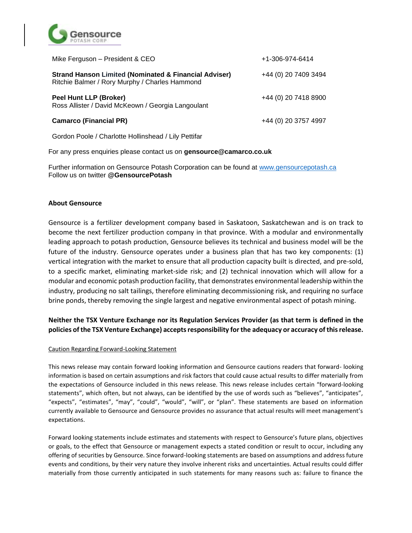

| Mike Ferguson - President & CEO                                                                                    | +1-306-974-6414      |
|--------------------------------------------------------------------------------------------------------------------|----------------------|
| <b>Strand Hanson Limited (Nominated &amp; Financial Adviser)</b><br>Ritchie Balmer / Rory Murphy / Charles Hammond | +44 (0) 20 7409 3494 |
| <b>Peel Hunt LLP (Broker)</b><br>Ross Allister / David McKeown / Georgia Langoulant                                | +44 (0) 20 7418 8900 |
| <b>Camarco (Financial PR)</b>                                                                                      | +44 (0) 20 3757 4997 |

Gordon Poole / Charlotte Hollinshead / Lily Pettifar

For any press enquiries please contact us on **gensource@camarco.co.uk**

Further information on Gensource Potash Corporation can be found at [www.gensourcepotash.ca](http://www.gensourcepotash.ca/) Follow us on twitter **@GensourcePotash**

#### **About Gensource**

Gensource is a fertilizer development company based in Saskatoon, Saskatchewan and is on track to become the next fertilizer production company in that province. With a modular and environmentally leading approach to potash production, Gensource believes its technical and business model will be the future of the industry. Gensource operates under a business plan that has two key components: (1) vertical integration with the market to ensure that all production capacity built is directed, and pre-sold, to a specific market, eliminating market-side risk; and (2) technical innovation which will allow for a modular and economic potash production facility, that demonstrates environmental leadership within the industry, producing no salt tailings, therefore eliminating decommissioning risk, and requiring no surface brine ponds, thereby removing the single largest and negative environmental aspect of potash mining.

## **Neither the TSX Venture Exchange nor its Regulation Services Provider (as that term is defined in the policies of the TSX Venture Exchange) accepts responsibility for the adequacy or accuracy of this release.**

#### Caution Regarding Forward-Looking Statement

This news release may contain forward looking information and Gensource cautions readers that forward- looking information is based on certain assumptions and risk factors that could cause actual results to differ materially from the expectations of Gensource included in this news release. This news release includes certain "forward-looking statements", which often, but not always, can be identified by the use of words such as "believes", "anticipates", "expects", "estimates", "may", "could", "would", "will", or "plan". These statements are based on information currently available to Gensource and Gensource provides no assurance that actual results will meet management's expectations.

Forward looking statements include estimates and statements with respect to Gensource's future plans, objectives or goals, to the effect that Gensource or management expects a stated condition or result to occur, including any offering of securities by Gensource. Since forward-looking statements are based on assumptions and address future events and conditions, by their very nature they involve inherent risks and uncertainties. Actual results could differ materially from those currently anticipated in such statements for many reasons such as: failure to finance the